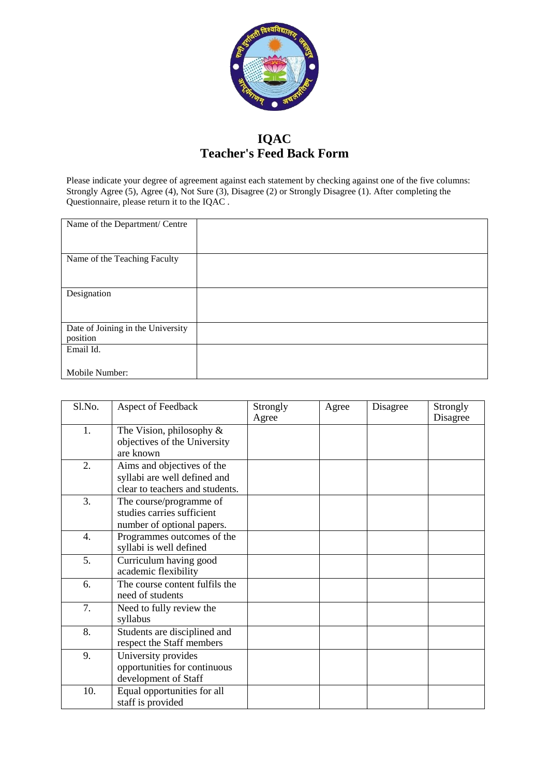

## **IQAC Teacher's Feed Back Form**

Please indicate your degree of agreement against each statement by checking against one of the five columns: Strongly Agree (5), Agree (4), Not Sure (3), Disagree (2) or Strongly Disagree (1). After completing the Questionnaire, please return it to the IQAC .

| Name of the Department/ Centre    |  |
|-----------------------------------|--|
|                                   |  |
| Name of the Teaching Faculty      |  |
|                                   |  |
|                                   |  |
| Designation                       |  |
|                                   |  |
|                                   |  |
| Date of Joining in the University |  |
| position                          |  |
| Email Id.                         |  |
|                                   |  |
| Mobile Number:                    |  |

| Sl.No. | Aspect of Feedback                                                                            | Strongly<br>Agree | Agree | Disagree | Strongly<br>Disagree |
|--------|-----------------------------------------------------------------------------------------------|-------------------|-------|----------|----------------------|
| 1.     | The Vision, philosophy $\&$<br>objectives of the University<br>are known                      |                   |       |          |                      |
| 2.     | Aims and objectives of the<br>syllabi are well defined and<br>clear to teachers and students. |                   |       |          |                      |
| 3.     | The course/programme of<br>studies carries sufficient<br>number of optional papers.           |                   |       |          |                      |
| 4.     | Programmes outcomes of the<br>syllabi is well defined                                         |                   |       |          |                      |
| 5.     | Curriculum having good<br>academic flexibility                                                |                   |       |          |                      |
| 6.     | The course content fulfils the<br>need of students                                            |                   |       |          |                      |
| 7.     | Need to fully review the<br>syllabus                                                          |                   |       |          |                      |
| 8.     | Students are disciplined and<br>respect the Staff members                                     |                   |       |          |                      |
| 9.     | University provides<br>opportunities for continuous<br>development of Staff                   |                   |       |          |                      |
| 10.    | Equal opportunities for all<br>staff is provided                                              |                   |       |          |                      |